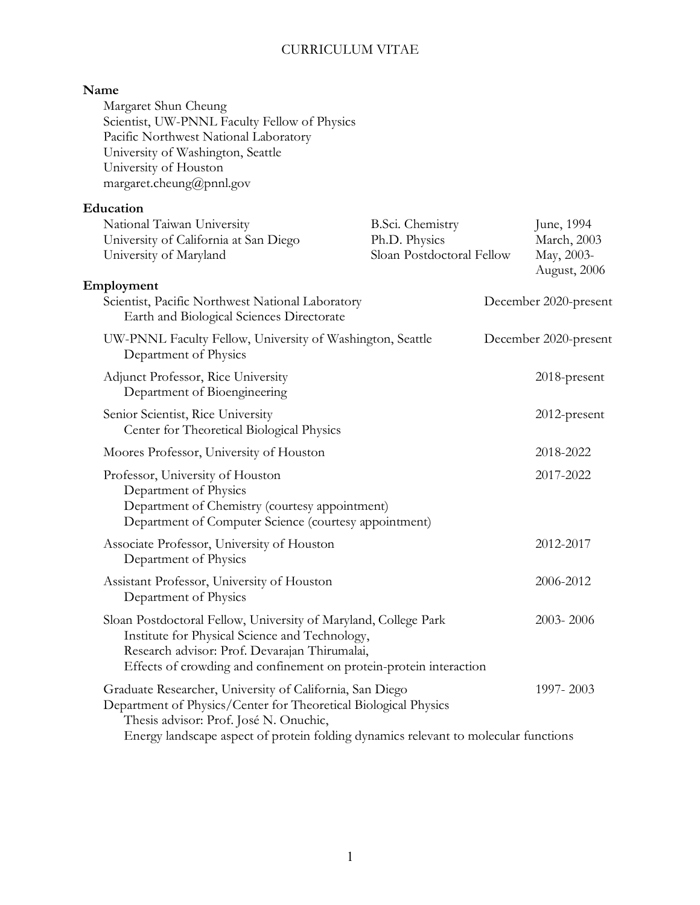### **Name**

Margaret Shun Cheung Scientist, UW-PNNL Faculty Fellow of Physics Pacific Northwest National Laboratory University of Washington, Seattle University of Houston margaret.cheung@pnnl.gov

# **Education**

| National Taiwan University<br>University of California at San Diego<br>University of Maryland                                                                                                                                                                | B.Sci. Chemistry<br>Ph.D. Physics<br>Sloan Postdoctoral Fellow |           | June, 1994<br>March, 2003<br>May, 2003-<br>August, 2006 |
|--------------------------------------------------------------------------------------------------------------------------------------------------------------------------------------------------------------------------------------------------------------|----------------------------------------------------------------|-----------|---------------------------------------------------------|
| Employment<br>Scientist, Pacific Northwest National Laboratory<br>Earth and Biological Sciences Directorate                                                                                                                                                  |                                                                |           | December 2020-present                                   |
| UW-PNNL Faculty Fellow, University of Washington, Seattle<br>Department of Physics                                                                                                                                                                           |                                                                |           | December 2020-present                                   |
| Adjunct Professor, Rice University<br>Department of Bioengineering                                                                                                                                                                                           |                                                                |           | 2018-present                                            |
| Senior Scientist, Rice University<br>Center for Theoretical Biological Physics                                                                                                                                                                               |                                                                |           | 2012-present                                            |
| Moores Professor, University of Houston                                                                                                                                                                                                                      |                                                                |           | 2018-2022                                               |
| Professor, University of Houston<br>Department of Physics<br>Department of Chemistry (courtesy appointment)<br>Department of Computer Science (courtesy appointment)                                                                                         |                                                                |           | 2017-2022                                               |
| Associate Professor, University of Houston<br>Department of Physics                                                                                                                                                                                          |                                                                |           | 2012-2017                                               |
| Assistant Professor, University of Houston<br>Department of Physics                                                                                                                                                                                          |                                                                | 2006-2012 |                                                         |
| Sloan Postdoctoral Fellow, University of Maryland, College Park<br>Institute for Physical Science and Technology,<br>Research advisor: Prof. Devarajan Thirumalai,<br>Effects of crowding and confinement on protein-protein interaction                     |                                                                |           | 2003-2006                                               |
| Graduate Researcher, University of California, San Diego<br>Department of Physics/Center for Theoretical Biological Physics<br>Thesis advisor: Prof. José N. Onuchic,<br>Energy landscape aspect of protein folding dynamics relevant to molecular functions |                                                                |           | 1997-2003                                               |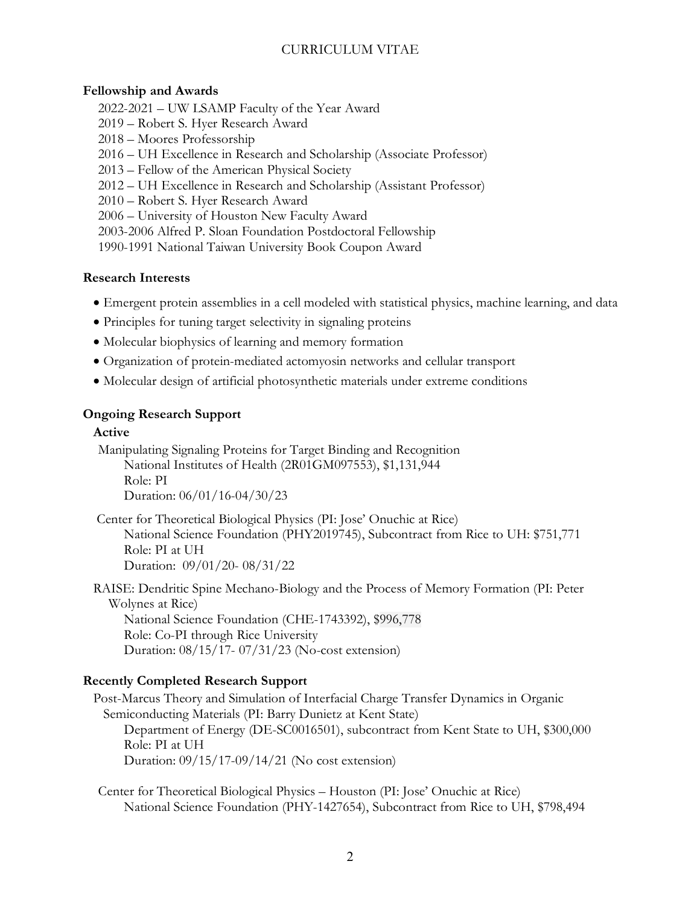### **Fellowship and Awards**

- 2022-2021 UW LSAMP Faculty of the Year Award
- 2019 Robert S. Hyer Research Award
- 2018 Moores Professorship
- 2016 UH Excellence in Research and Scholarship (Associate Professor)
- 2013 Fellow of the American Physical Society
- 2012 UH Excellence in Research and Scholarship (Assistant Professor)
- 2010 Robert S. Hyer Research Award
- 2006 University of Houston New Faculty Award
- 2003-2006 Alfred P. Sloan Foundation Postdoctoral Fellowship
- 1990-1991 National Taiwan University Book Coupon Award

## **Research Interests**

- Emergent protein assemblies in a cell modeled with statistical physics, machine learning, and data
- Principles for tuning target selectivity in signaling proteins
- Molecular biophysics of learning and memory formation
- Organization of protein-mediated actomyosin networks and cellular transport
- Molecular design of artificial photosynthetic materials under extreme conditions

## **Ongoing Research Support**

### **Active**

Manipulating Signaling Proteins for Target Binding and Recognition National Institutes of Health (2R01GM097553), \$1,131,944 Role: PI Duration: 06/01/16-04/30/23

 Center for Theoretical Biological Physics (PI: Jose' Onuchic at Rice) National Science Foundation (PHY2019745), Subcontract from Rice to UH: \$751,771 Role: PI at UH Duration: 09/01/20- 08/31/22

RAISE: Dendritic Spine Mechano-Biology and the Process of Memory Formation (PI: Peter Wolynes at Rice) National Science Foundation (CHE-1743392), \$996,778 Role: Co-PI through Rice University Duration: 08/15/17- 07/31/23 (No-cost extension)

# **Recently Completed Research Support**

Post-Marcus Theory and Simulation of Interfacial Charge Transfer Dynamics in Organic Semiconducting Materials (PI: Barry Dunietz at Kent State) Department of Energy (DE-SC0016501), subcontract from Kent State to UH, \$300,000 Role: PI at UH Duration: 09/15/17-09/14/21 (No cost extension)

Center for Theoretical Biological Physics – Houston (PI: Jose' Onuchic at Rice) National Science Foundation (PHY-1427654), Subcontract from Rice to UH, \$798,494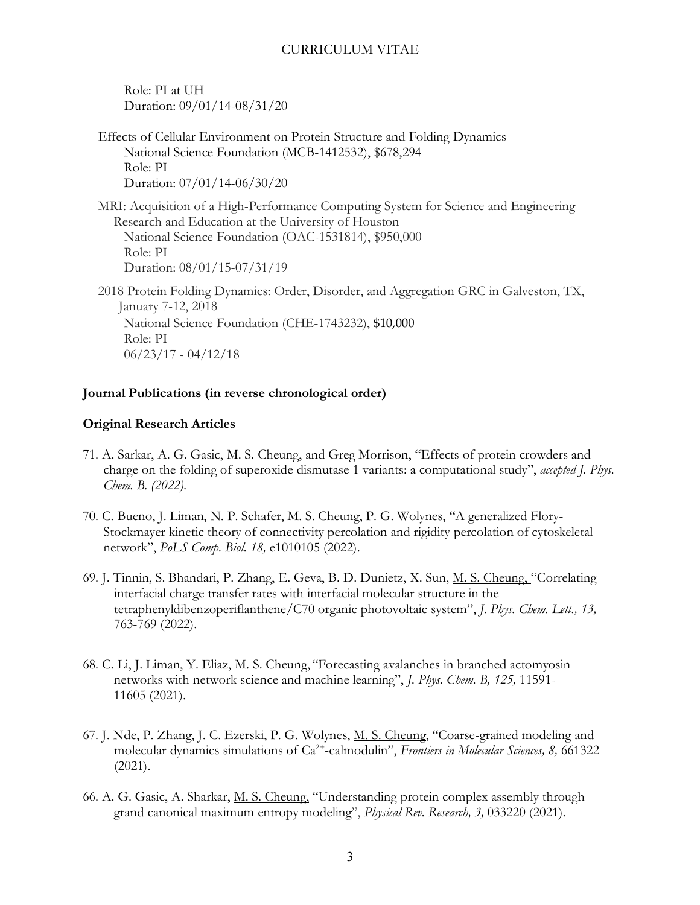Role: PI at UH Duration: 09/01/14-08/31/20

Effects of Cellular Environment on Protein Structure and Folding Dynamics National Science Foundation (MCB-1412532), \$678,294 Role: PI Duration: 07/01/14-06/30/20

MRI: Acquisition of a High-Performance Computing System for Science and Engineering Research and Education at the University of Houston National Science Foundation (OAC-1531814), \$950,000 Role: PI Duration: 08/01/15-07/31/19

2018 Protein Folding Dynamics: Order, Disorder, and Aggregation GRC in Galveston, TX, January 7-12, 2018 National Science Foundation (CHE-1743232), \$10,000 Role: PI 06/23/17 - 04/12/18

### **Journal Publications (in reverse chronological order)**

### **Original Research Articles**

- 71. A. Sarkar, A. G. Gasic, M. S. Cheung, and Greg Morrison, "Effects of protein crowders and charge on the folding of superoxide dismutase 1 variants: a computational study", *accepted J. Phys. Chem. B. (2022).*
- 70. C. Bueno, J. Liman, N. P. Schafer, M. S. Cheung, P. G. Wolynes, "A generalized Flory-Stockmayer kinetic theory of connectivity percolation and rigidity percolation of cytoskeletal network", *PoLS Comp. Biol. 18,* e1010105 (2022).
- 69. J. Tinnin, S. Bhandari, P. Zhang, E. Geva, B. D. Dunietz, X. Sun, M. S. Cheung, "Correlating interfacial charge transfer rates with interfacial molecular structure in the tetraphenyldibenzoperiflanthene/C70 organic photovoltaic system", *J. Phys. Chem. Lett., 13,*  763-769 (2022).
- 68. C. Li, J. Liman, Y. Eliaz, M. S. Cheung, "Forecasting avalanches in branched actomyosin networks with network science and machine learning", *J. Phys. Chem. B, 125,* 11591- 11605 (2021).
- 67. J. Nde, P. Zhang, J. C. Ezerski, P. G. Wolynes, M. S. Cheung, "Coarse-grained modeling and molecular dynamics simulations of Ca<sup>2+</sup>-calmodulin", *Frontiers in Molecular Sciences*, 8, 661322 (2021).
- 66. A. G. Gasic, A. Sharkar, M. S. Cheung, "Understanding protein complex assembly through grand canonical maximum entropy modeling", *Physical Rev. Research, 3,* 033220 (2021).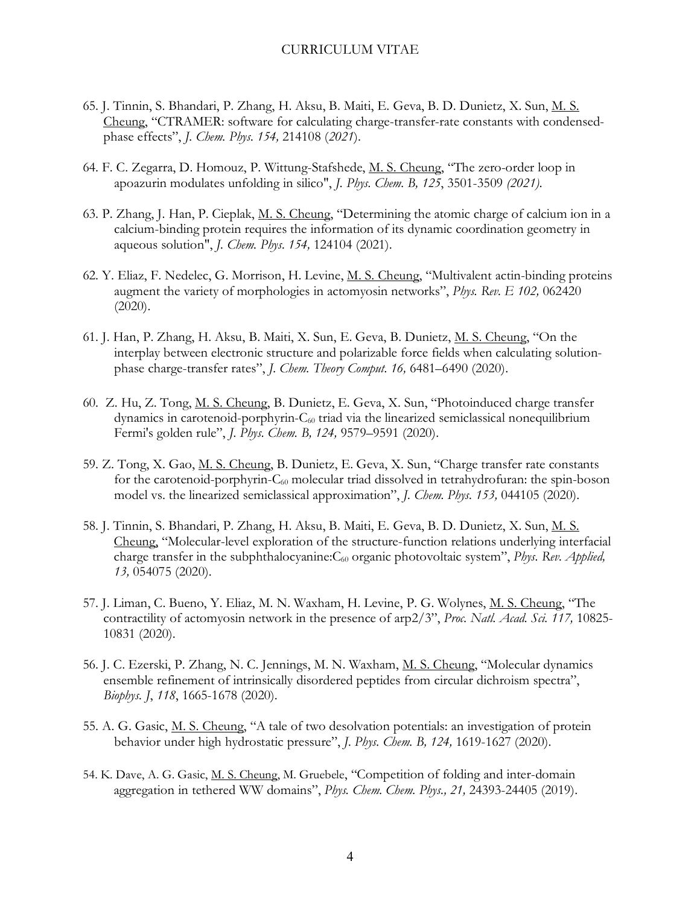- 65. J. Tinnin, S. Bhandari, P. Zhang, H. Aksu, B. Maiti, E. Geva, B. D. Dunietz, X. Sun, M. S. Cheung, "CTRAMER: software for calculating charge-transfer-rate constants with condensedphase effects", *J. Chem. Phys. 154,* 214108 (*2021*).
- 64. F. C. Zegarra, D. Homouz, P. Wittung-Stafshede, M. S. Cheung, "The zero-order loop in apoazurin modulates unfolding in silico", *J. Phys. Chem. B, 125*, 3501-3509 *(2021).*
- 63. P. Zhang, J. Han, P. Cieplak, M. S. Cheung, "Determining the atomic charge of calcium ion in a calcium-binding protein requires the information of its dynamic coordination geometry in aqueous solution", *J. Chem. Phys. 154,* 124104 (2021).
- 62. Y. Eliaz, F. Nedelec, G. Morrison, H. Levine, M. S. Cheung, "Multivalent actin-binding proteins augment the variety of morphologies in actomyosin networks", *Phys. Rev. E 102,* 062420 (2020).
- 61. J. Han, P. Zhang, H. Aksu, B. Maiti, X. Sun, E. Geva, B. Dunietz, M. S. Cheung, "On the interplay between electronic structure and polarizable force fields when calculating solutionphase charge-transfer rates", *J. Chem. Theory Comput. 16,* 6481–6490 (2020).
- 60. Z. Hu, Z. Tong, M. S. Cheung, B. Dunietz, E. Geva, X. Sun, "Photoinduced charge transfer dynamics in carotenoid-porphyrin-C60 triad via the linearized semiclassical nonequilibrium Fermi's golden rule", *J. Phys. Chem. B, 124,* 9579–9591 (2020).
- 59. Z. Tong, X. Gao, M. S. Cheung, B. Dunietz, E. Geva, X. Sun, "Charge transfer rate constants for the carotenoid-porphyrin-C<sub>60</sub> molecular triad dissolved in tetrahydrofuran: the spin-boson model vs. the linearized semiclassical approximation", *J. Chem. Phys. 153,* 044105 (2020).
- 58. J. Tinnin, S. Bhandari, P. Zhang, H. Aksu, B. Maiti, E. Geva, B. D. Dunietz, X. Sun, M. S. Cheung, "Molecular-level exploration of the structure-function relations underlying interfacial charge transfer in the subphthalocyanine: C<sub>60</sub> organic photovoltaic system", *Phys. Rev. Applied*, *13,* 054075 (2020).
- 57. J. Liman, C. Bueno, Y. Eliaz, M. N. Waxham, H. Levine, P. G. Wolynes, M. S. Cheung, "The contractility of actomyosin network in the presence of arp2/3", *Proc. Natl. Acad. Sci. 117,* 10825- 10831 (2020).
- 56. J. C. Ezerski, P. Zhang, N. C. Jennings, M. N. Waxham, M. S. Cheung, "Molecular dynamics ensemble refinement of intrinsically disordered peptides from circular dichroism spectra", *Biophys. J*, *118*, 1665-1678 (2020).
- 55. A. G. Gasic, M. S. Cheung, "A tale of two desolvation potentials: an investigation of protein behavior under high hydrostatic pressure", *J. Phys. Chem. B, 124,* 1619-1627 (2020).
- 54. K. Dave, A. G. Gasic, M. S. Cheung, M. Gruebele, "Competition of folding and inter-domain aggregation in tethered WW domains", *Phys. Chem. Chem. Phys., 21,* 24393-24405 (2019).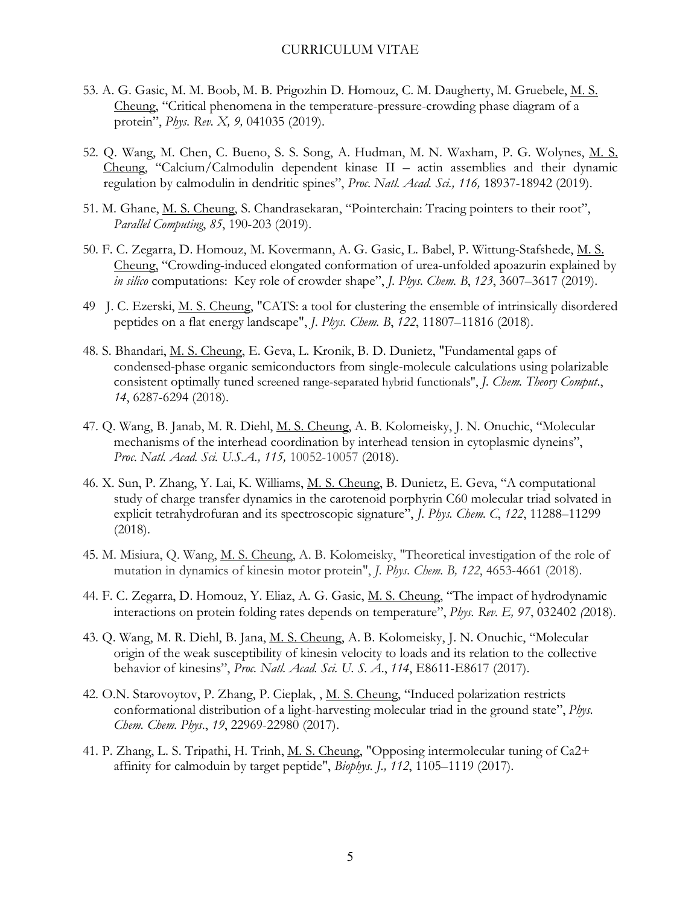- 53. A. G. Gasic, M. M. Boob, M. B. Prigozhin D. Homouz, C. M. Daugherty, M. Gruebele, M. S. Cheung, "Critical phenomena in the temperature-pressure-crowding phase diagram of a protein", *Phys. Rev. X, 9,* 041035 (2019).
- 52. Q. Wang, M. Chen, C. Bueno, S. S. Song, A. Hudman, M. N. Waxham, P. G. Wolynes, M. S. Cheung, "Calcium/Calmodulin dependent kinase II – actin assemblies and their dynamic regulation by calmodulin in dendritic spines", *Proc. Natl. Acad. Sci., 116,* 18937-18942 (2019).
- 51. M. Ghane, M. S. Cheung, S. Chandrasekaran, "Pointerchain: Tracing pointers to their root", *Parallel Computing*, *85*, 190-203 (2019).
- 50. F. C. Zegarra, D. Homouz, M. Kovermann, A. G. Gasic, L. Babel, P. Wittung-Stafshede, M. S. Cheung, "Crowding-induced elongated conformation of urea-unfolded apoazurin explained by *in silico* computations: Key role of crowder shape", *J. Phys. Chem. B*, *123*, 3607–3617 (2019).
- 49 J. C. Ezerski, M. S. Cheung, "CATS: a tool for clustering the ensemble of intrinsically disordered peptides on a flat energy landscape", *J. Phys. Chem. B*, *122*, 11807–11816 (2018).
- 48. S. Bhandari, M. S. Cheung, E. Geva, L. Kronik, B. D. Dunietz, "Fundamental gaps of condensed-phase organic semiconductors from single-molecule calculations using polarizable consistent optimally tuned screened range-separated hybrid functionals", *J. Chem. Theory Comput*., *14*, 6287-6294 (2018).
- 47. Q. Wang, B. Janab, M. R. Diehl, M. S. Cheung, A. B. Kolomeisky, J. N. Onuchic, "Molecular mechanisms of the interhead coordination by interhead tension in cytoplasmic dyneins", *Proc. Natl. Acad. Sci. U.S.A., 115,* 10052-10057 (2018).
- 46. X. Sun, P. Zhang, Y. Lai, K. Williams, M. S. Cheung, B. Dunietz, E. Geva, "A computational study of charge transfer dynamics in the carotenoid porphyrin C60 molecular triad solvated in explicit tetrahydrofuran and its spectroscopic signature", *J. Phys. Chem. C*, *122*, 11288–11299 (2018).
- 45. M. Misiura, Q. Wang, M. S. Cheung, A. B. Kolomeisky, "Theoretical investigation of the role of mutation in dynamics of kinesin motor protein", *J. Phys. Chem. B, 122*, 4653-4661 (2018).
- 44. F. C. Zegarra, D. Homouz, Y. Eliaz, A. G. Gasic, M. S. Cheung, "The impact of hydrodynamic interactions on protein folding rates depends on temperature", *Phys. Rev. E, 97*, 032402 *(*2018).
- 43. Q. Wang, M. R. Diehl, B. Jana, M. S. Cheung, A. B. Kolomeisky, J. N. Onuchic, "Molecular origin of the weak susceptibility of kinesin velocity to loads and its relation to the collective behavior of kinesins", *Proc. Natl. Acad. Sci. U. S. A*., *114*, E8611-E8617 (2017).
- 42. O.N. Starovoytov, P. Zhang, P. Cieplak, , M. S. Cheung, "Induced polarization restricts conformational distribution of a light-harvesting molecular triad in the ground state", *Phys. Chem. Chem. Phys*., *19*, 22969-22980 (2017).
- 41. P. Zhang, L. S. Tripathi, H. Trinh, M. S. Cheung, "Opposing intermolecular tuning of Ca2+ affinity for calmoduin by target peptide", *Biophys. J., 112*, 1105–1119 (2017)*.*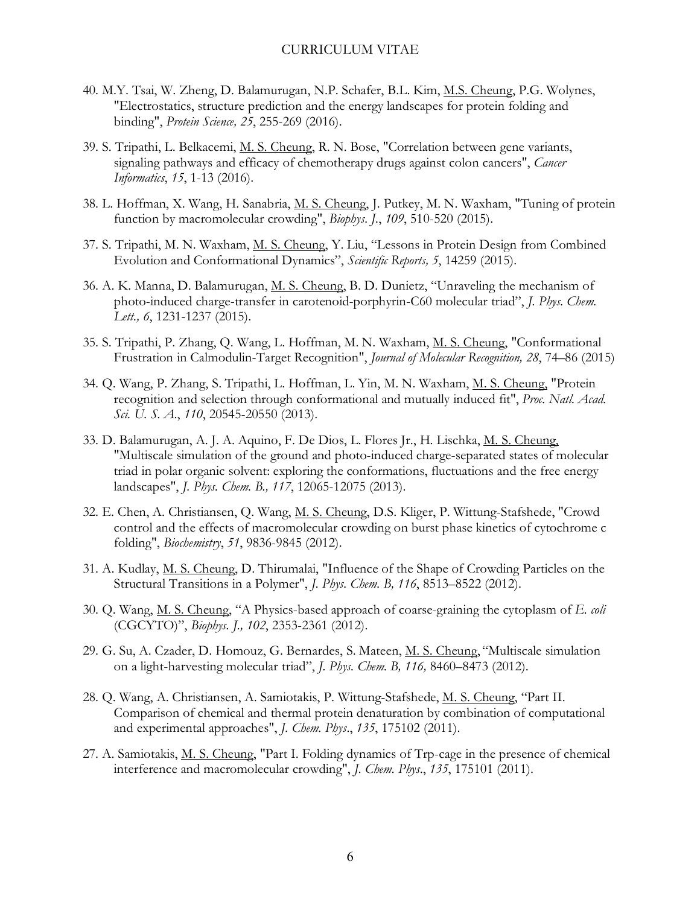- 40. M.Y. Tsai, W. Zheng, D. Balamurugan, N.P. Schafer, B.L. Kim, M.S. Cheung, P.G. Wolynes, "Electrostatics, structure prediction and the energy landscapes for protein folding and binding", *Protein Science, 25*, 255-269 (2016).
- 39. S. Tripathi, L. Belkacemi, M. S. Cheung, R. N. Bose, "Correlation between gene variants, signaling pathways and efficacy of chemotherapy drugs against colon cancers", *Cancer Informatics*, *15*, 1-13 (2016).
- 38. L. Hoffman, X. Wang, H. Sanabria, M. S. Cheung, J. Putkey, M. N. Waxham, "Tuning of protein function by macromolecular crowding", *Biophys. J.*, *109*, 510-520 (2015).
- 37. S. Tripathi, M. N. Waxham, M. S. Cheung, Y. Liu, "Lessons in Protein Design from Combined Evolution and Conformational Dynamics", *Scientific Reports, 5*, 14259 (2015).
- 36. A. K. Manna, D. Balamurugan, M. S. Cheung, B. D. Dunietz, "Unraveling the mechanism of photo-induced charge-transfer in carotenoid-porphyrin-C60 molecular triad", *J. Phys. Chem. Lett., 6*, 1231-1237 (2015).
- 35. S. Tripathi, P. Zhang, Q. Wang, L. Hoffman, M. N. Waxham, M. S. Cheung, "Conformational Frustration in Calmodulin-Target Recognition", *Journal of Molecular Recognition, 28*, 74–86 (2015)
- 34. Q. Wang, P. Zhang, S. Tripathi, L. Hoffman, L. Yin, M. N. Waxham, M. S. Cheung, "Protein recognition and selection through conformational and mutually induced fit", *Proc. Natl. Acad. Sci. U. S. A*., *110*, 20545-20550 (2013).
- 33. D. Balamurugan, A. J. A. Aquino, F. De Dios, L. Flores Jr., H. Lischka, M. S. Cheung, "Multiscale simulation of the ground and photo-induced charge-separated states of molecular triad in polar organic solvent: exploring the conformations, fluctuations and the free energy landscapes", *J. Phys. Chem. B., 117*, 12065-12075 (2013).
- 32. E. Chen, A. Christiansen, Q. Wang, M. S. Cheung, D.S. Kliger, P. Wittung-Stafshede, "Crowd control and the effects of macromolecular crowding on burst phase kinetics of cytochrome c folding", *Biochemistry*, *51*, 9836-9845 (2012).
- 31. A. Kudlay, M. S. Cheung, D. Thirumalai, "Influence of the Shape of Crowding Particles on the Structural Transitions in a Polymer", *J. Phys. Chem. B, 116*, 8513–8522 (2012).
- 30. Q. Wang, M. S. Cheung, "A Physics-based approach of coarse-graining the cytoplasm of *E. coli*  (CGCYTO)", *Biophys. J., 102*, 2353-2361 (2012).
- 29. G. Su, A. Czader, D. Homouz, G. Bernardes, S. Mateen, M. S. Cheung, "Multiscale simulation on a light-harvesting molecular triad", *J. Phys. Chem. B, 116,* 8460–8473 (2012).
- 28. Q. Wang, A. Christiansen, A. Samiotakis, P. Wittung-Stafshede, M. S. Cheung, "Part II. Comparison of chemical and thermal protein denaturation by combination of computational and experimental approaches", *J. Chem. Phys*., *135*, 175102 (2011).
- 27. A. Samiotakis, M. S. Cheung, "Part I. Folding dynamics of Trp-cage in the presence of chemical interference and macromolecular crowding", *J. Chem. Phys*., *135*, 175101 (2011).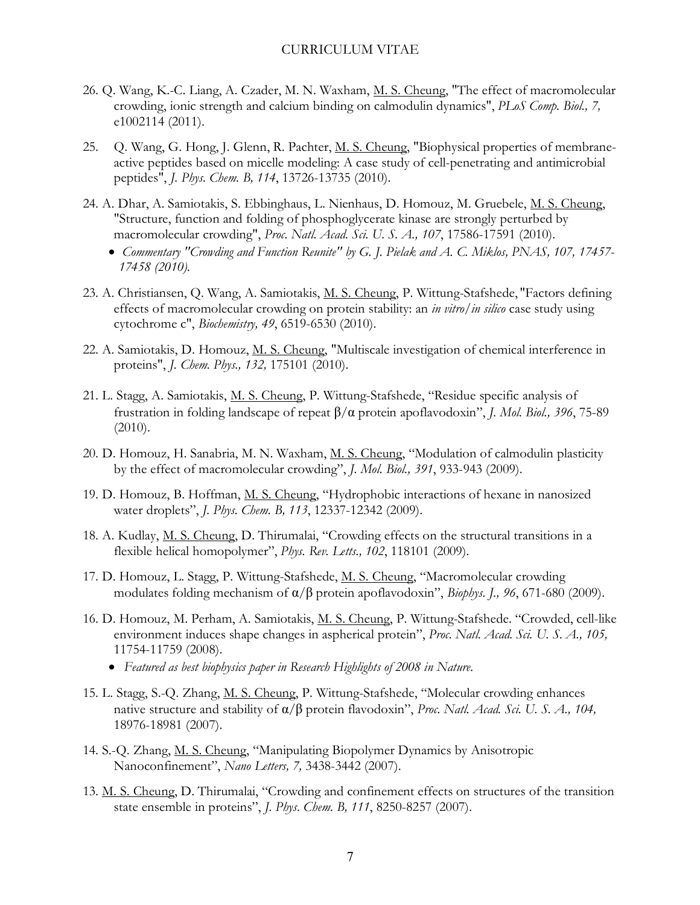- 26. Q. Wang, K.-C. Liang, A. Czader, M. N. Waxham, M. S. Cheung, "The effect of macromolecular crowding, ionic strength and calcium binding on calmodulin dynamics", *PLoS Comp. Biol., 7,* e1002114 (2011).
- 25. Q. Wang, G. Hong, J. Glenn, R. Pachter, M. S. Cheung, "Biophysical properties of membraneactive peptides based on micelle modeling: A case study of cell-penetrating and antimicrobial peptides", *J. Phys. Chem. B, 114*, 13726-13735 (2010).
- 24. A. Dhar, A. Samiotakis, S. Ebbinghaus, L. Nienhaus, D. Homouz, M. Gruebele, M. S. Cheung, "Structure, function and folding of phosphoglycerate kinase are strongly perturbed by macromolecular crowding", *Proc. Natl. Acad. Sci. U. S. A., 107*, 17586-17591 (2010).
	- *Commentary "Crowding and Function Reunite" by G. J. Pielak and A. C. Miklos, PNAS, 107, 17457- 17458 (2010).*
- 23. A. Christiansen, Q. Wang, A. Samiotakis, M. S. Cheung, P. Wittung-Stafshede, "Factors defining effects of macromolecular crowding on protein stability: an *in vitro/in silico* case study using cytochrome c", *Biochemistry, 49*, 6519-6530 (2010).
- 22. A. Samiotakis, D. Homouz, M. S. Cheung, "Multiscale investigation of chemical interference in proteins", *J. Chem. Phys., 132,* 175101 (2010).
- 21. L. Stagg, A. Samiotakis, M. S. Cheung, P. Wittung-Stafshede, "Residue specific analysis of frustration in folding landscape of repeat β/α protein apoflavodoxin", *J. Mol. Biol., 396*, 75-89 (2010).
- 20. D. Homouz, H. Sanabria, M. N. Waxham, M. S. Cheung, "Modulation of calmodulin plasticity by the effect of macromolecular crowding", *J. Mol. Biol., 391*, 933-943 (2009).
- 19. D. Homouz, B. Hoffman, M. S. Cheung, "Hydrophobic interactions of hexane in nanosized water droplets", *J. Phys. Chem. B, 113*, 12337-12342 (2009).
- 18. A. Kudlay, M. S. Cheung, D. Thirumalai, "Crowding effects on the structural transitions in a flexible helical homopolymer", *Phys. Rev. Letts., 102*, 118101 (2009).
- 17. D. Homouz, L. Stagg, P. Wittung-Stafshede, M. S. Cheung, "Macromolecular crowding modulates folding mechanism of α/β protein apoflavodoxin", *Biophys. J., 96*, 671-680 (2009).
- 16. D. Homouz, M. Perham, A. Samiotakis, M. S. Cheung, P. Wittung-Stafshede. "Crowded, cell-like environment induces shape changes in aspherical protein", *Proc. Natl. Acad. Sci. U. S. A., 105,* 11754-11759 (2008).
	- *Featured as best biophysics paper in Research Highlights of 2008 in Nature.*
- 15. L. Stagg, S.-Q. Zhang, M. S. Cheung, P. Wittung-Stafshede, "Molecular crowding enhances native structure and stability of α/β protein flavodoxin", *Proc. Natl. Acad. Sci. U. S. A., 104,* 18976-18981 (2007).
- 14. S.-Q. Zhang, M. S. Cheung, "Manipulating Biopolymer Dynamics by Anisotropic Nanoconfinement", *Nano Letters, 7,* 3438-3442 (2007).
- 13. M. S. Cheung, D. Thirumalai, "Crowding and confinement effects on structures of the transition state ensemble in proteins", *J. Phys. Chem. B, 111*, 8250-8257 (2007).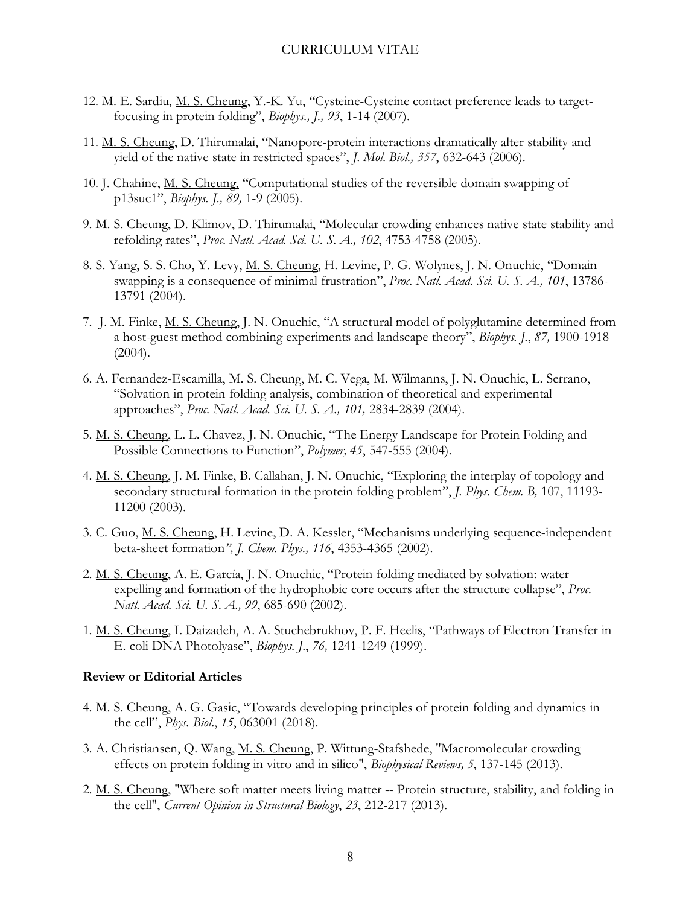- 12. M. E. Sardiu, M. S. Cheung, Y.-K. Yu, "Cysteine-Cysteine contact preference leads to targetfocusing in protein folding", *Biophys., J., 93*, 1-14 (2007).
- 11. M. S. Cheung, D. Thirumalai, "Nanopore-protein interactions dramatically alter stability and yield of the native state in restricted spaces", *J. Mol. Biol., 357*, 632-643 (2006).
- 10. J. Chahine, M. S. Cheung, "Computational studies of the reversible domain swapping of p13suc1", *Biophys. J., 89,* 1-9 (2005).
- 9. M. S. Cheung, D. Klimov, D. Thirumalai, "Molecular crowding enhances native state stability and refolding rates", *Proc. Natl. Acad. Sci. U. S. A., 102*, 4753-4758 (2005).
- 8. S. Yang, S. S. Cho, Y. Levy, M. S. Cheung, H. Levine, P. G. Wolynes, J. N. Onuchic, "Domain swapping is a consequence of minimal frustration", *Proc. Natl. Acad. Sci. U. S. A., 101*, 13786- 13791 (2004).
- 7. J. M. Finke, M. S. Cheung, J. N. Onuchic, "A structural model of polyglutamine determined from a host-guest method combining experiments and landscape theory", *Biophys. J.*, *87,* 1900-1918 (2004).
- 6. A. Fernandez-Escamilla, M. S. Cheung, M. C. Vega, M. Wilmanns, J. N. Onuchic, L. Serrano, "Solvation in protein folding analysis, combination of theoretical and experimental approaches", *Proc. Natl. Acad. Sci. U. S. A., 101,* 2834-2839 (2004).
- 5. M. S. Cheung, L. L. Chavez, J. N. Onuchic, "The Energy Landscape for Protein Folding and Possible Connections to Function", *Polymer, 45*, 547-555 (2004).
- 4. M. S. Cheung, J. M. Finke, B. Callahan, J. N. Onuchic, "Exploring the interplay of topology and secondary structural formation in the protein folding problem", *J. Phys. Chem. B,* 107, 11193- 11200 (2003).
- 3. C. Guo, M. S. Cheung, H. Levine, D. A. Kessler, "Mechanisms underlying sequence-independent beta-sheet formation*", J. Chem. Phys., 116*, 4353-4365 (2002).
- 2. M. S. Cheung, A. E. García, J. N. Onuchic, "Protein folding mediated by solvation: water expelling and formation of the hydrophobic core occurs after the structure collapse", *Proc. Natl. Acad. Sci. U. S. A., 99*, 685-690 (2002).
- 1. M. S. Cheung, I. Daizadeh, A. A. Stuchebrukhov, P. F. Heelis, "Pathways of Electron Transfer in E. coli DNA Photolyase", *Biophys. J*., *76,* 1241-1249 (1999).

#### **Review or Editorial Articles**

- 4. M. S. Cheung, A. G. Gasic, "Towards developing principles of protein folding and dynamics in the cell", *Phys. Biol*., *15*, 063001 (2018).
- 3. A. Christiansen, Q. Wang, M. S. Cheung, P. Wittung-Stafshede, "Macromolecular crowding effects on protein folding in vitro and in silico", *Biophysical Reviews, 5*, 137-145 (2013).
- 2. M. S. Cheung, "Where soft matter meets living matter -- Protein structure, stability, and folding in the cell", *Current Opinion in Structural Biology*, *23*, 212-217 (2013).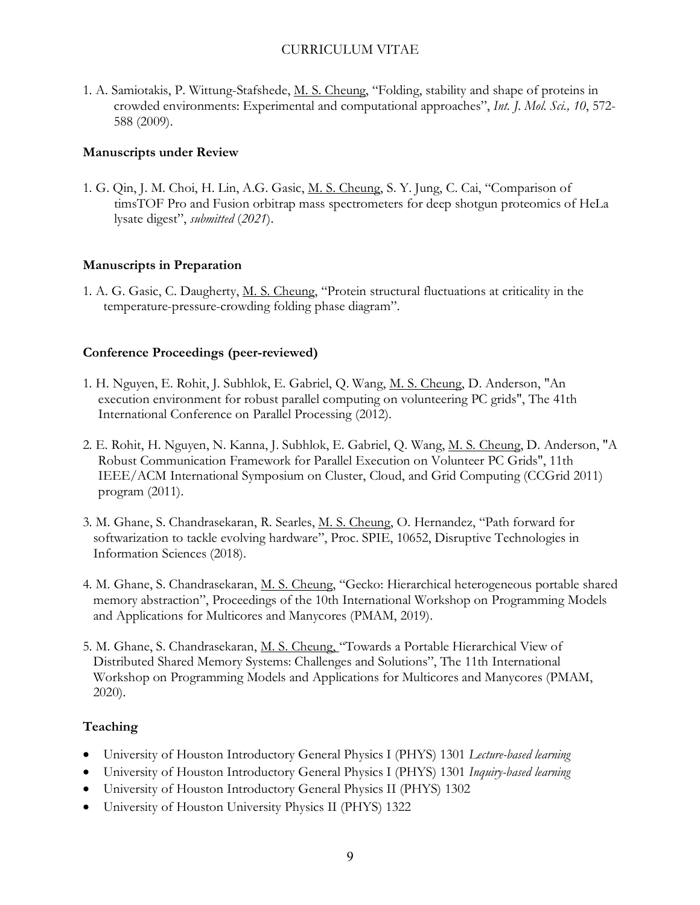1. A. Samiotakis, P. Wittung-Stafshede, M. S. Cheung, "Folding, stability and shape of proteins in crowded environments: Experimental and computational approaches", *Int. J. Mol. Sci., 10*, 572- 588 (2009).

## **Manuscripts under Review**

1. G. Qin, J. M. Choi, H. Lin, A.G. Gasic, M. S. Cheung, S. Y. Jung, C. Cai, "Comparison of timsTOF Pro and Fusion orbitrap mass spectrometers for deep shotgun proteomics of HeLa lysate digest", *submitted* (*2021*).

# **Manuscripts in Preparation**

1. A. G. Gasic, C. Daugherty, M. S. Cheung, "Protein structural fluctuations at criticality in the temperature-pressure-crowding folding phase diagram".

## **Conference Proceedings (peer-reviewed)**

- 1. H. Nguyen, E. Rohit, J. Subhlok, E. Gabriel, Q. Wang, M. S. Cheung, D. Anderson, "An execution environment for robust parallel computing on volunteering PC grids", The 41th International Conference on Parallel Processing (2012).
- 2. E. Rohit, H. Nguyen, N. Kanna, J. Subhlok, E. Gabriel, Q. Wang, M. S. Cheung, D. Anderson, "A Robust Communication Framework for Parallel Execution on Volunteer PC Grids", 11th IEEE/ACM International Symposium on Cluster, Cloud, and Grid Computing (CCGrid 2011) program (2011).
- 3. M. Ghane, S. Chandrasekaran, R. Searles, M. S. Cheung, O. Hernandez, "Path forward for softwarization to tackle evolving hardware", Proc. SPIE, 10652, Disruptive Technologies in Information Sciences (2018).
- 4. M. Ghane, S. Chandrasekaran, M. S. Cheung, "Gecko: Hierarchical heterogeneous portable shared memory abstraction", Proceedings of the 10th International Workshop on Programming Models and Applications for Multicores and Manycores (PMAM, 2019).
- 5. M. Ghane, S. Chandrasekaran, M. S. Cheung, "Towards a Portable Hierarchical View of Distributed Shared Memory Systems: Challenges and Solutions", The 11th International Workshop on Programming Models and Applications for Multicores and Manycores (PMAM, 2020).

# **Teaching**

- University of Houston Introductory General Physics I (PHYS) 1301 *Lecture-based learning*
- University of Houston Introductory General Physics I (PHYS) 1301 *Inquiry-based learning*
- University of Houston Introductory General Physics II (PHYS) 1302
- University of Houston University Physics II (PHYS) 1322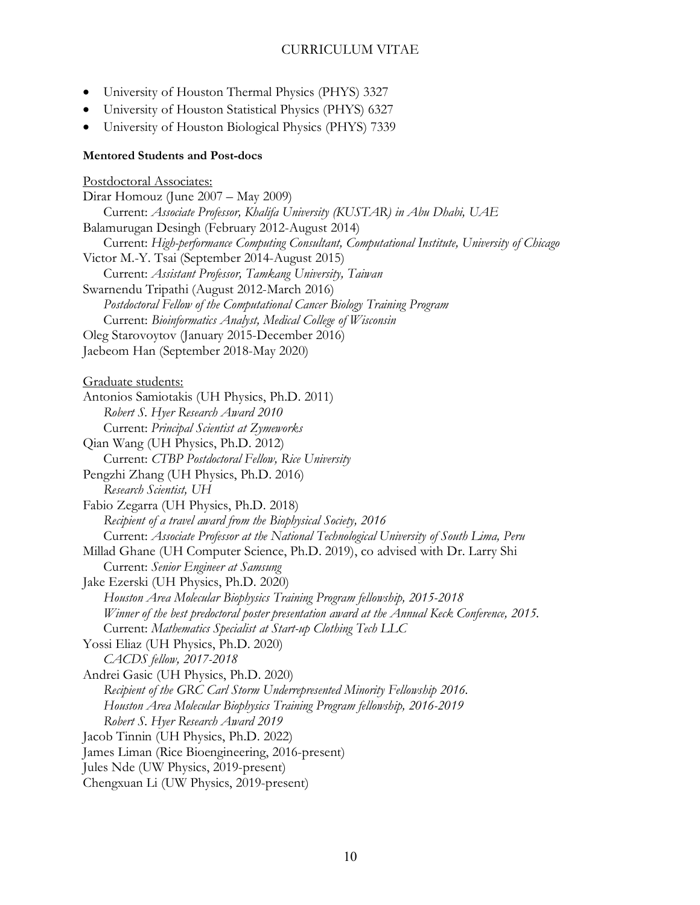- University of Houston Thermal Physics (PHYS) 3327
- University of Houston Statistical Physics (PHYS) 6327
- University of Houston Biological Physics (PHYS) 7339

#### **Mentored Students and Post-docs**

Postdoctoral Associates: Dirar Homouz (June 2007 – May 2009) Current: *Associate Professor, Khalifa University (KUSTAR) in Abu Dhabi, UAE* Balamurugan Desingh (February 2012-August 2014) Current: *High-performance Computing Consultant, Computational Institute, University of Chicago* Victor M.-Y. Tsai (September 2014-August 2015) Current: *Assistant Professor, Tamkang University, Taiwan* Swarnendu Tripathi (August 2012-March 2016) *Postdoctoral Fellow of the Computational Cancer Biology Training Program* Current: *Bioinformatics Analyst, Medical College of Wisconsin* Oleg Starovoytov (January 2015-December 2016) Jaebeom Han (September 2018-May 2020) Graduate students: Antonios Samiotakis (UH Physics, Ph.D. 2011) *Robert S. Hyer Research Award 2010* Current: *Principal Scientist at Zymeworks* Qian Wang (UH Physics, Ph.D. 2012) Current: *CTBP Postdoctoral Fellow, Rice University* Pengzhi Zhang (UH Physics, Ph.D. 2016) *Research Scientist, UH* Fabio Zegarra (UH Physics, Ph.D. 2018) *Recipient of a travel award from the Biophysical Society, 2016* Current: *Associate Professor at the National Technological University of South Lima, Peru* Millad Ghane (UH Computer Science, Ph.D. 2019), co advised with Dr. Larry Shi Current: *Senior Engineer at Samsung* Jake Ezerski (UH Physics, Ph.D. 2020) *Houston Area Molecular Biophysics Training Program fellowship, 2015-2018 Winner of the best predoctoral poster presentation award at the Annual Keck Conference, 2015.* Current: *Mathematics Specialist at Start-up Clothing Tech LLC* Yossi Eliaz (UH Physics, Ph.D. 2020) *CACDS fellow, 2017-2018* Andrei Gasic (UH Physics, Ph.D. 2020) *Recipient of the GRC Carl Storm Underrepresented Minority Fellowship 2016. Houston Area Molecular Biophysics Training Program fellowship, 2016-2019 Robert S. Hyer Research Award 2019* Jacob Tinnin (UH Physics, Ph.D. 2022) James Liman (Rice Bioengineering, 2016-present) Jules Nde (UW Physics, 2019-present) Chengxuan Li (UW Physics, 2019-present)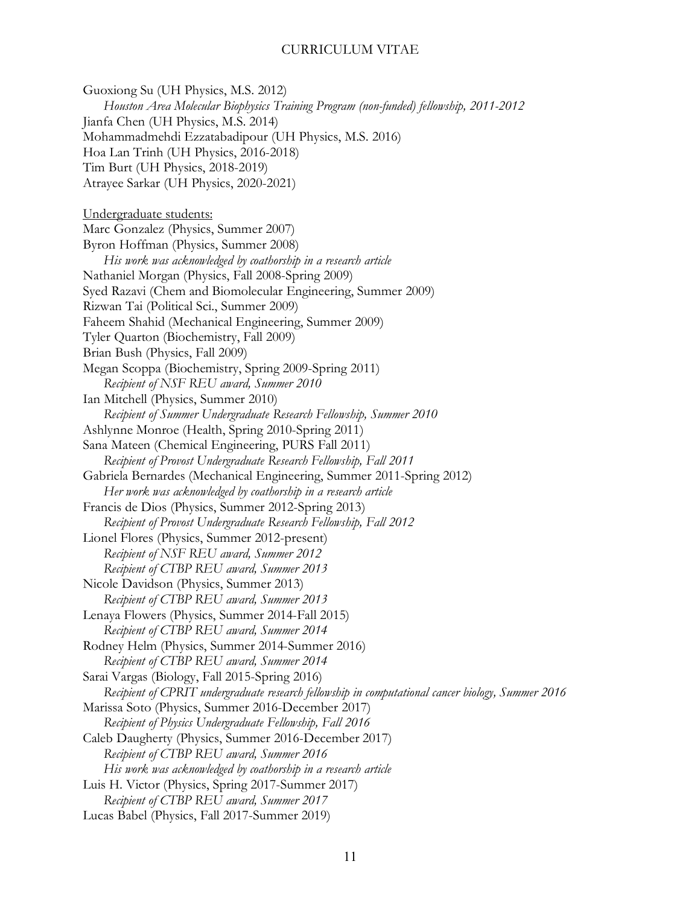Guoxiong Su (UH Physics, M.S. 2012) *Houston Area Molecular Biophysics Training Program (non-funded) fellowship, 2011-2012* Jianfa Chen (UH Physics, M.S. 2014) Mohammadmehdi Ezzatabadipour (UH Physics, M.S. 2016) Hoa Lan Trinh (UH Physics, 2016-2018) Tim Burt (UH Physics, 2018-2019) Atrayee Sarkar (UH Physics, 2020-2021) Undergraduate students: Marc Gonzalez (Physics, Summer 2007) Byron Hoffman (Physics, Summer 2008) *His work was acknowledged by coathorship in a research article* Nathaniel Morgan (Physics, Fall 2008-Spring 2009) Syed Razavi (Chem and Biomolecular Engineering, Summer 2009) Rizwan Tai (Political Sci., Summer 2009) Faheem Shahid (Mechanical Engineering, Summer 2009) Tyler Quarton (Biochemistry, Fall 2009) Brian Bush (Physics, Fall 2009) Megan Scoppa (Biochemistry, Spring 2009-Spring 2011) *Recipient of NSF REU award, Summer 2010* Ian Mitchell (Physics, Summer 2010) *Recipient of Summer Undergraduate Research Fellowship, Summer 2010* Ashlynne Monroe (Health, Spring 2010-Spring 2011) Sana Mateen (Chemical Engineering, PURS Fall 2011) *Recipient of Provost Undergraduate Research Fellowship, Fall 2011* Gabriela Bernardes (Mechanical Engineering, Summer 2011-Spring 2012) *Her work was acknowledged by coathorship in a research article* Francis de Dios (Physics, Summer 2012-Spring 2013) *Recipient of Provost Undergraduate Research Fellowship, Fall 2012* Lionel Flores (Physics, Summer 2012-present) *Recipient of NSF REU award, Summer 2012 Recipient of CTBP REU award, Summer 2013* Nicole Davidson (Physics, Summer 2013) *Recipient of CTBP REU award, Summer 2013* Lenaya Flowers (Physics, Summer 2014-Fall 2015) *Recipient of CTBP REU award, Summer 2014* Rodney Helm (Physics, Summer 2014-Summer 2016) *Recipient of CTBP REU award, Summer 2014* Sarai Vargas (Biology, Fall 2015-Spring 2016) *Recipient of CPRIT undergraduate research fellowship in computational cancer biology, Summer 2016* Marissa Soto (Physics, Summer 2016-December 2017) *Recipient of Physics Undergraduate Fellowship, Fall 2016* Caleb Daugherty (Physics, Summer 2016-December 2017) *Recipient of CTBP REU award, Summer 2016 His work was acknowledged by coathorship in a research article* Luis H. Victor (Physics, Spring 2017-Summer 2017) *Recipient of CTBP REU award, Summer 2017* Lucas Babel (Physics, Fall 2017-Summer 2019)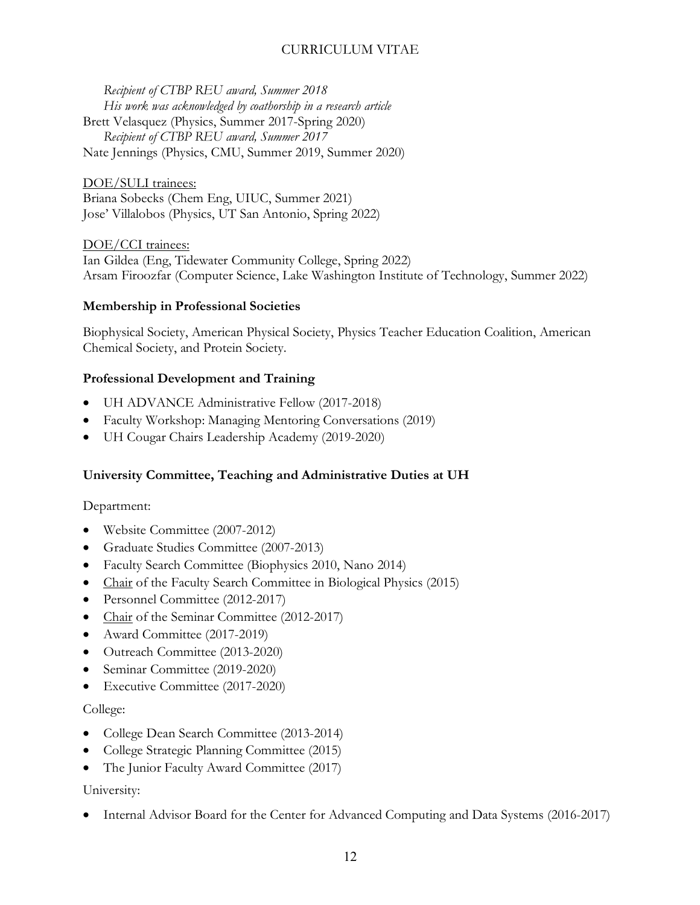*Recipient of CTBP REU award, Summer 2018 His work was acknowledged by coathorship in a research article* Brett Velasquez (Physics, Summer 2017-Spring 2020) *Recipient of CTBP REU award, Summer 2017* Nate Jennings (Physics, CMU, Summer 2019, Summer 2020)

DOE/SULI trainees: Briana Sobecks (Chem Eng, UIUC, Summer 2021) Jose' Villalobos (Physics, UT San Antonio, Spring 2022)

DOE/CCI trainees: Ian Gildea (Eng, Tidewater Community College, Spring 2022) Arsam Firoozfar (Computer Science, Lake Washington Institute of Technology, Summer 2022)

### **Membership in Professional Societies**

Biophysical Society, American Physical Society, Physics Teacher Education Coalition, American Chemical Society, and Protein Society.

# **Professional Development and Training**

- UH ADVANCE Administrative Fellow (2017-2018)
- Faculty Workshop: Managing Mentoring Conversations (2019)
- UH Cougar Chairs Leadership Academy (2019-2020)

# **University Committee, Teaching and Administrative Duties at UH**

Department:

- Website Committee (2007-2012)
- Graduate Studies Committee (2007-2013)
- Faculty Search Committee (Biophysics 2010, Nano 2014)
- Chair of the Faculty Search Committee in Biological Physics (2015)
- Personnel Committee (2012-2017)
- Chair of the Seminar Committee (2012-2017)
- Award Committee (2017-2019)
- Outreach Committee (2013-2020)
- Seminar Committee (2019-2020)
- Executive Committee (2017-2020)

### College:

- College Dean Search Committee (2013-2014)
- College Strategic Planning Committee (2015)
- The Junior Faculty Award Committee (2017)

### University:

• Internal Advisor Board for the Center for Advanced Computing and Data Systems (2016-2017)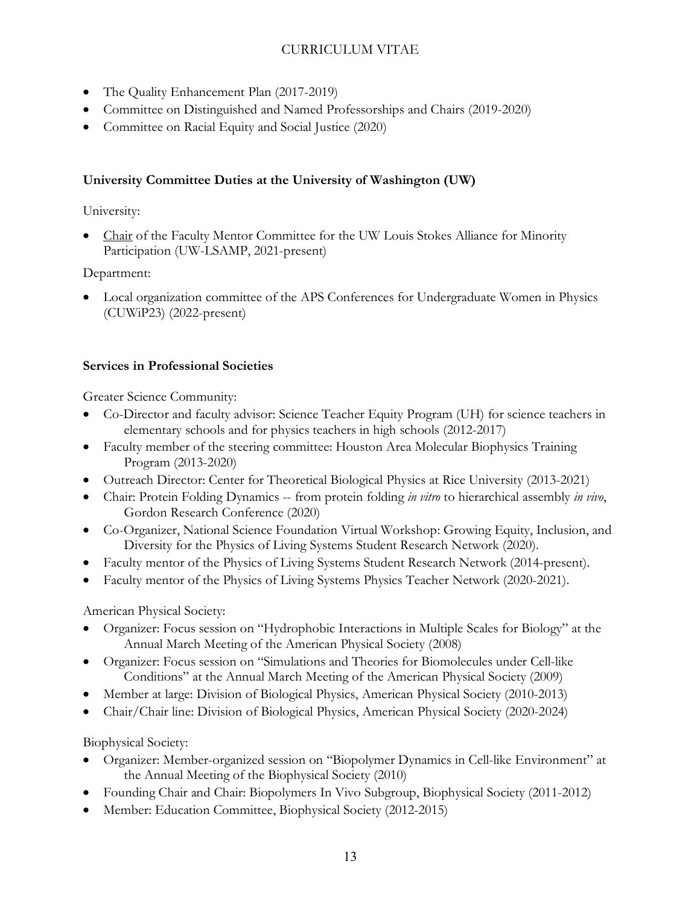- The Quality Enhancement Plan (2017-2019)
- Committee on Distinguished and Named Professorships and Chairs (2019-2020)
- Committee on Racial Equity and Social Justice (2020)

# **University Committee Duties at the University of Washington (UW)**

# University:

• Chair of the Faculty Mentor Committee for the UW Louis Stokes Alliance for Minority Participation (UW-LSAMP, 2021-present)

# Department:

• Local organization committee of the APS Conferences for Undergraduate Women in Physics (CUWiP23) (2022-present)

# **Services in Professional Societies**

Greater Science Community:

- Co-Director and faculty advisor: Science Teacher Equity Program (UH) for science teachers in elementary schools and for physics teachers in high schools (2012-2017)
- Faculty member of the steering committee: Houston Area Molecular Biophysics Training Program (2013-2020)
- Outreach Director: Center for Theoretical Biological Physics at Rice University (2013-2021)
- Chair: Protein Folding Dynamics -- from protein folding *in vitro* to hierarchical assembly *in vivo*, Gordon Research Conference (2020)
- Co-Organizer, National Science Foundation Virtual Workshop: Growing Equity, Inclusion, and Diversity for the Physics of Living Systems Student Research Network (2020).
- Faculty mentor of the Physics of Living Systems Student Research Network (2014-present).
- Faculty mentor of the Physics of Living Systems Physics Teacher Network (2020-2021).

American Physical Society:

- Organizer: Focus session on "Hydrophobic Interactions in Multiple Scales for Biology" at the Annual March Meeting of the American Physical Society (2008)
- Organizer: Focus session on "Simulations and Theories for Biomolecules under Cell-like Conditions" at the Annual March Meeting of the American Physical Society (2009)
- Member at large: Division of Biological Physics, American Physical Society (2010-2013)
- Chair/Chair line: Division of Biological Physics, American Physical Society (2020-2024)

Biophysical Society:

- Organizer: Member-organized session on "Biopolymer Dynamics in Cell-like Environment" at the Annual Meeting of the Biophysical Society (2010)
- Founding Chair and Chair: Biopolymers In Vivo Subgroup, Biophysical Society (2011-2012)
- Member: Education Committee, Biophysical Society (2012-2015)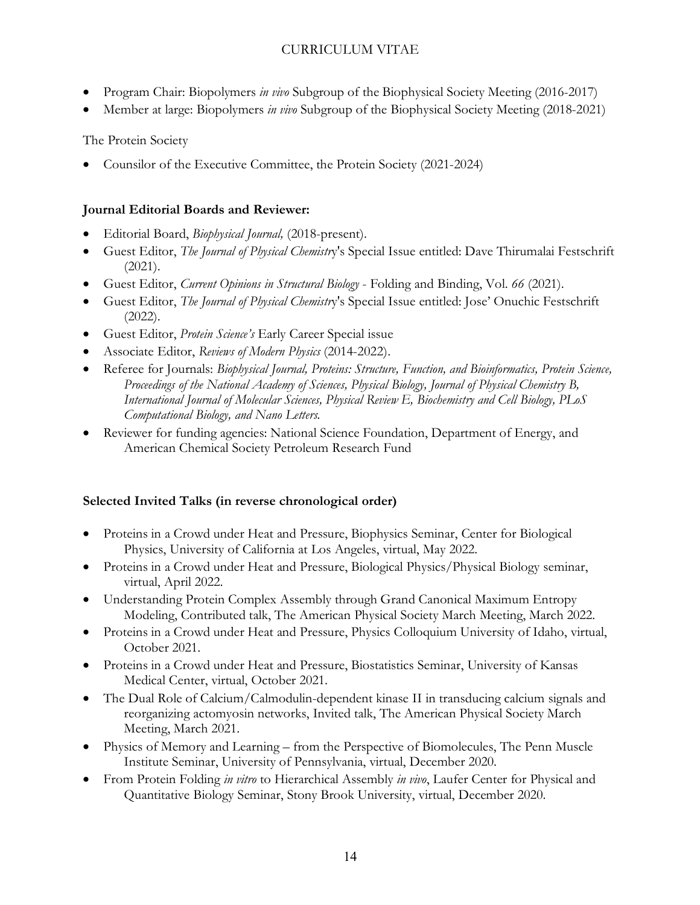- Program Chair: Biopolymers *in vivo* Subgroup of the Biophysical Society Meeting (2016-2017)
- Member at large: Biopolymers *in vivo* Subgroup of the Biophysical Society Meeting (2018-2021)

# The Protein Society

• Counsilor of the Executive Committee, the Protein Society (2021-2024)

# **Journal Editorial Boards and Reviewer:**

- Editorial Board, *Biophysical Journal,* (2018-present).
- Guest Editor, *The Journal of Physical Chemistr*y's Special Issue entitled: Dave Thirumalai Festschrift (2021).
- Guest Editor, *Current Opinions in Structural Biology* Folding and Binding, Vol. *66* (2021).
- Guest Editor, *The Journal of Physical Chemistr*y's Special Issue entitled: Jose' Onuchic Festschrift (2022).
- Guest Editor, *Protein Science's* Early Career Special issue
- Associate Editor, *Reviews of Modern Physics* (2014-2022).
- Referee for Journals: *Biophysical Journal, Proteins: Structure, Function, and Bioinformatics, Protein Science, Proceedings of the National Academy of Sciences, Physical Biology, Journal of Physical Chemistry B, International Journal of Molecular Sciences, Physical Review E, Biochemistry and Cell Biology, PLoS Computational Biology, and Nano Letters.*
- Reviewer for funding agencies: National Science Foundation, Department of Energy, and American Chemical Society Petroleum Research Fund

# **Selected Invited Talks (in reverse chronological order)**

- Proteins in a Crowd under Heat and Pressure, Biophysics Seminar, Center for Biological Physics, University of California at Los Angeles, virtual, May 2022.
- Proteins in a Crowd under Heat and Pressure, Biological Physics/Physical Biology seminar, virtual, April 2022.
- Understanding Protein Complex Assembly through Grand Canonical Maximum Entropy Modeling, Contributed talk, The American Physical Society March Meeting, March 2022.
- Proteins in a Crowd under Heat and Pressure, Physics Colloquium University of Idaho, virtual, October 2021.
- Proteins in a Crowd under Heat and Pressure, Biostatistics Seminar, University of Kansas Medical Center, virtual, October 2021.
- The Dual Role of Calcium/Calmodulin-dependent kinase II in transducing calcium signals and reorganizing actomyosin networks, Invited talk, The American Physical Society March Meeting, March 2021.
- Physics of Memory and Learning from the Perspective of Biomolecules, The Penn Muscle Institute Seminar, University of Pennsylvania, virtual, December 2020.
- From Protein Folding *in vitro* to Hierarchical Assembly *in vivo*, Laufer Center for Physical and Quantitative Biology Seminar, Stony Brook University, virtual, December 2020.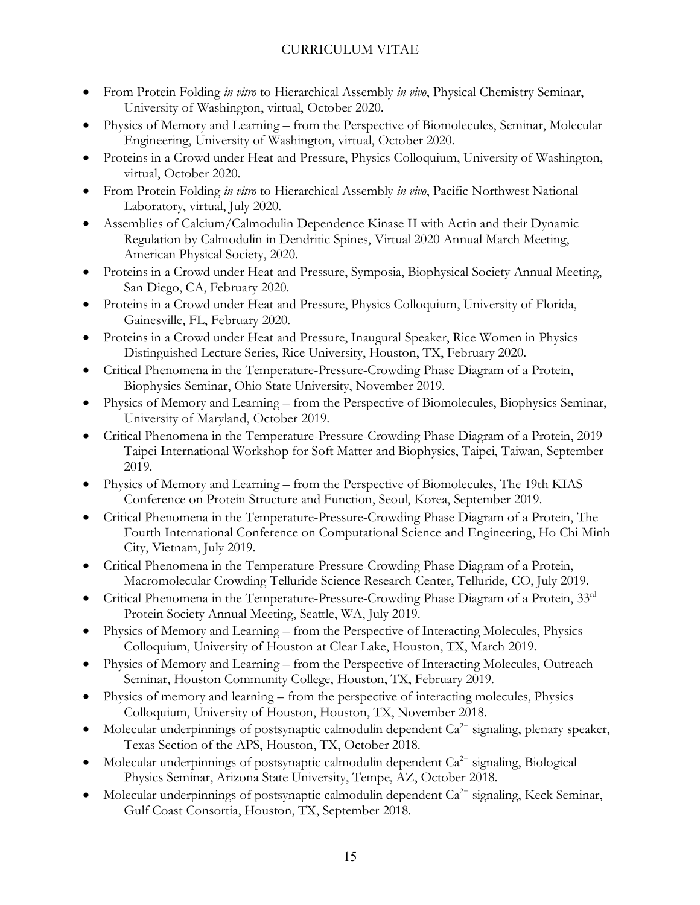- From Protein Folding *in vitro* to Hierarchical Assembly *in vivo*, Physical Chemistry Seminar, University of Washington, virtual, October 2020.
- Physics of Memory and Learning from the Perspective of Biomolecules, Seminar, Molecular Engineering, University of Washington, virtual, October 2020.
- Proteins in a Crowd under Heat and Pressure, Physics Colloquium, University of Washington, virtual, October 2020.
- From Protein Folding *in vitro* to Hierarchical Assembly *in vivo*, Pacific Northwest National Laboratory, virtual, July 2020.
- Assemblies of Calcium/Calmodulin Dependence Kinase II with Actin and their Dynamic Regulation by Calmodulin in Dendritic Spines, Virtual 2020 Annual March Meeting, American Physical Society, 2020.
- Proteins in a Crowd under Heat and Pressure, Symposia, Biophysical Society Annual Meeting, San Diego, CA, February 2020.
- Proteins in a Crowd under Heat and Pressure, Physics Colloquium, University of Florida, Gainesville, FL, February 2020.
- Proteins in a Crowd under Heat and Pressure, Inaugural Speaker, Rice Women in Physics Distinguished Lecture Series, Rice University, Houston, TX, February 2020.
- Critical Phenomena in the Temperature-Pressure-Crowding Phase Diagram of a Protein, Biophysics Seminar, Ohio State University, November 2019.
- Physics of Memory and Learning from the Perspective of Biomolecules, Biophysics Seminar, University of Maryland, October 2019.
- Critical Phenomena in the Temperature-Pressure-Crowding Phase Diagram of a Protein, 2019 Taipei International Workshop for Soft Matter and Biophysics, Taipei, Taiwan, September 2019.
- Physics of Memory and Learning from the Perspective of Biomolecules, The 19th KIAS Conference on Protein Structure and Function, Seoul, Korea, September 2019.
- Critical Phenomena in the Temperature-Pressure-Crowding Phase Diagram of a Protein, The Fourth International Conference on Computational Science and Engineering, Ho Chi Minh City, Vietnam, July 2019.
- Critical Phenomena in the Temperature-Pressure-Crowding Phase Diagram of a Protein, Macromolecular Crowding Telluride Science Research Center, Telluride, CO, July 2019.
- Critical Phenomena in the Temperature-Pressure-Crowding Phase Diagram of a Protein, 33rd Protein Society Annual Meeting, Seattle, WA, July 2019.
- Physics of Memory and Learning from the Perspective of Interacting Molecules, Physics Colloquium, University of Houston at Clear Lake, Houston, TX, March 2019.
- Physics of Memory and Learning from the Perspective of Interacting Molecules, Outreach Seminar, Houston Community College, Houston, TX, February 2019.
- Physics of memory and learning from the perspective of interacting molecules, Physics Colloquium, University of Houston, Houston, TX, November 2018.
- Molecular underpinnings of postsynaptic calmodulin dependent  $Ca^{2+}$  signaling, plenary speaker, Texas Section of the APS, Houston, TX, October 2018.
- Molecular underpinnings of postsynaptic calmodulin dependent  $Ca^{2+}$  signaling, Biological Physics Seminar, Arizona State University, Tempe, AZ, October 2018.
- Molecular underpinnings of postsynaptic calmodulin dependent  $Ca^{2+}$  signaling, Keck Seminar, Gulf Coast Consortia, Houston, TX, September 2018.